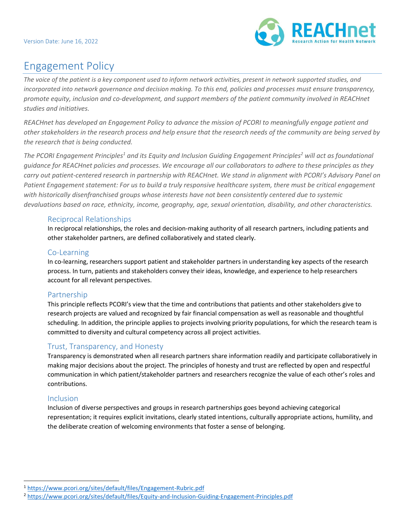

# Engagement Policy

*The voice of the patient is a key component used to inform network activities, present in network supported studies, and incorporated into network governance and decision making. To this end, policies and processes must ensure transparency, promote equity, inclusion and co-development, and support members of the patient community involved in REACHnet studies and initiatives.* 

*REACHnet has developed an Engagement Policy to advance the mission of PCORI to meaningfully engage patient and other stakeholders in the research process and help ensure that the research needs of the community are being served by the research that is being conducted.* 

*The PCORI Engagement Principles<sup>1</sup> and its Equity and Inclusion Guiding Engagement Principles<sup>2</sup> will act as foundational guidance for REACHnet policies and processes. We encourage all our collaborators to adhere to these principles as they carry out patient-centered research in partnership with REACHnet. We stand in alignment with PCORI's Advisory Panel on*  Patient Engagement statement: For us to build a truly responsive healthcare system, there must be critical engagement *with historically disenfranchised groups whose interests have not been consistently centered due to systemic devaluations based on race, ethnicity, income, geography, age, sexual orientation, disability, and other characteristics.* 

#### Reciprocal Relationships

In reciprocal relationships, the roles and decision-making authority of all research partners, including patients and other stakeholder partners, are defined collaboratively and stated clearly.

## Co-Learning

In co-learning, researchers support patient and stakeholder partners in understanding key aspects of the research process. In turn, patients and stakeholders convey their ideas, knowledge, and experience to help researchers account for all relevant perspectives.

## Partnership

This principle reflects PCORI's view that the time and contributions that patients and other stakeholders give to research projects are valued and recognized by fair financial compensation as well as reasonable and thoughtful scheduling. In addition, the principle applies to projects involving priority populations, for which the research team is committed to diversity and cultural competency across all project activities.

## Trust, Transparency, and Honesty

Transparency is demonstrated when all research partners share information readily and participate collaboratively in making major decisions about the project. The principles of honesty and trust are reflected by open and respectful communication in which patient/stakeholder partners and researchers recognize the value of each other's roles and contributions.

## Inclusion

Inclusion of diverse perspectives and groups in research partnerships goes beyond achieving categorical representation; it requires explicit invitations, clearly stated intentions, culturally appropriate actions, humility, and the deliberate creation of welcoming environments that foster a sense of belonging.

<sup>1</sup> <https://www.pcori.org/sites/default/files/Engagement-Rubric.pdf>

<sup>2</sup> <https://www.pcori.org/sites/default/files/Equity-and-Inclusion-Guiding-Engagement-Principles.pdf>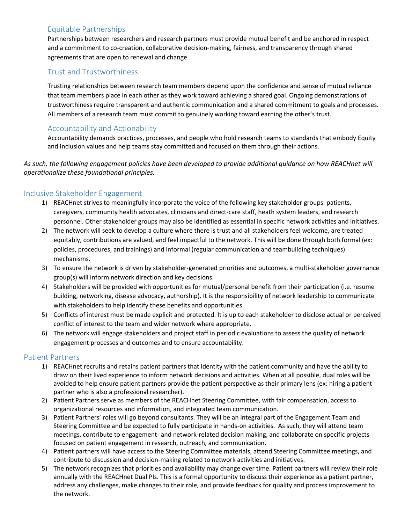## Equitable Partnerships

Partnerships between researchers and research partners must provide mutual benefit and be anchored in respect and a commitment to co-creation, collaborative decision-making, fairness, and transparency through shared agreements that are open to renewal and change.

## Trust and Trustworthiness

Trusting relationships between research team members depend upon the confidence and sense of mutual reliance that team members place in each other as they work toward achieving a shared goal. Ongoing demonstrations of trustworthiness require transparent and authentic communication and a shared commitment to goals and processes. All members of a research team must commit to genuinely working toward earning the other's trust.

## Accountability and Actionability

Accountability demands practices, processes, and people who hold research teams to standards that embody Equity and Inclusion values and help teams stay committed and focused on them through their actions.

*As such, the following engagement policies have been developed to provide additional guidance on how REACHnet will operationalize these foundational principles.* 

## Inclusive Stakeholder Engagement

- 1) REACHnet strives to meaningfully incorporate the voice of the following key stakeholder groups: patients, caregivers, community health advocates, clinicians and direct-care staff, heath system leaders, and research personnel. Other stakeholder groups may also be identified as essential in specific network activities and initiatives.
- 2) The network will seek to develop a culture where there is trust and all stakeholders feel welcome, are treated equitably, contributions are valued, and feel impactful to the network. This will be done through both formal (ex: policies, procedures, and trainings) and informal (regular communication and teambuilding techniques) mechanisms.
- 3) To ensure the network is driven by stakeholder-generated priorities and outcomes, a multi-stakeholder governance group(s) will inform network direction and key decisions.
- 4) Stakeholders will be provided with opportunities for mutual/personal benefit from their participation (i.e. resume building, networking, disease advocacy, authorship). It is the responsibility of network leadership to communicate with stakeholders to help identify these benefits and opportunities.
- 5) Conflicts of interest must be made explicit and protected. It is up to each stakeholder to disclose actual or perceived conflict of interest to the team and wider network where appropriate.
- 6) The network will engage stakeholders and project staff in periodic evaluations to assess the quality of network engagement processes and outcomes and to ensure accountability.

## Patient Partners

- 1) REACHnet recruits and retains patient partners that identity with the patient community and have the ability to draw on their lived experience to inform network decisions and activities. When at all possible, dual roles will be avoided to help ensure patient partners provide the patient perspective as their primary lens (ex: hiring a patient partner who is also a professional researcher).
- 2) Patient Partners serve as members of the REACHnet Steering Committee, with fair compensation, access to organizational resources and information, and integrated team communication.
- 3) Patient Partners' roles will go beyond consultants. They will be an integral part of the Engagement Team and Steering Committee and be expected to fully participate in hands-on activities. As such, they will attend team meetings, contribute to engagement- and network-related decision making, and collaborate on specific projects focused on patient engagement in research, outreach, and communication.
- 4) Patient partners will have access to the Steering Committee materials, attend Steering Committee meetings, and contribute to discussion and decision-making related to network activities and initiatives.
- 5) The network recognizes that priorities and availability may change over time. Patient partners will review their role annually with the REACHnet Dual PIs. This is a formal opportunity to discuss their experience as a patient partner, address any challenges, make changes to their role, and provide feedback for quality and process improvement to the network.